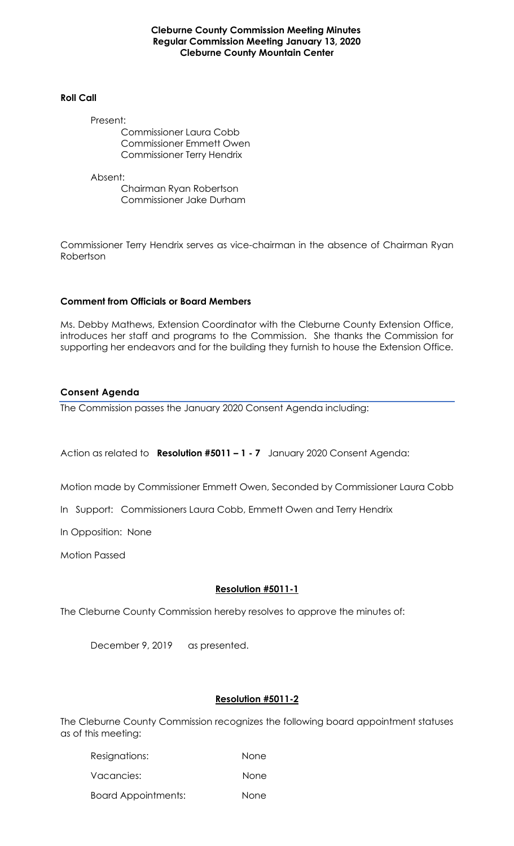#### **Cleburne County Commission Meeting Minutes Regular Commission Meeting January 13, 2020 Cleburne County Mountain Center**

#### **Roll Call**

Present:

Commissioner Laura Cobb Commissioner Emmett Owen Commissioner Terry Hendrix

Absent:

Chairman Ryan Robertson Commissioner Jake Durham

Commissioner Terry Hendrix serves as vice-chairman in the absence of Chairman Ryan Robertson

### **Comment from Officials or Board Members**

Ms. Debby Mathews, Extension Coordinator with the Cleburne County Extension Office, introduces her staff and programs to the Commission. She thanks the Commission for supporting her endeavors and for the building they furnish to house the Extension Office.

# **Consent Agenda**

The Commission passes the January 2020 Consent Agenda including:

Action as related to **Resolution #5011 – 1 - 7** January 2020 Consent Agenda:

Motion made by Commissioner Emmett Owen, Seconded by Commissioner Laura Cobb

In Support: Commissioners Laura Cobb, Emmett Owen and Terry Hendrix

In Opposition: None

Motion Passed

# **Resolution #5011-1**

The Cleburne County Commission hereby resolves to approve the minutes of:

December 9, 2019 as presented.

# **Resolution #5011-2**

The Cleburne County Commission recognizes the following board appointment statuses as of this meeting:

| Resignations:              | None        |
|----------------------------|-------------|
| Vacancies:                 | <b>None</b> |
| <b>Board Appointments:</b> | None        |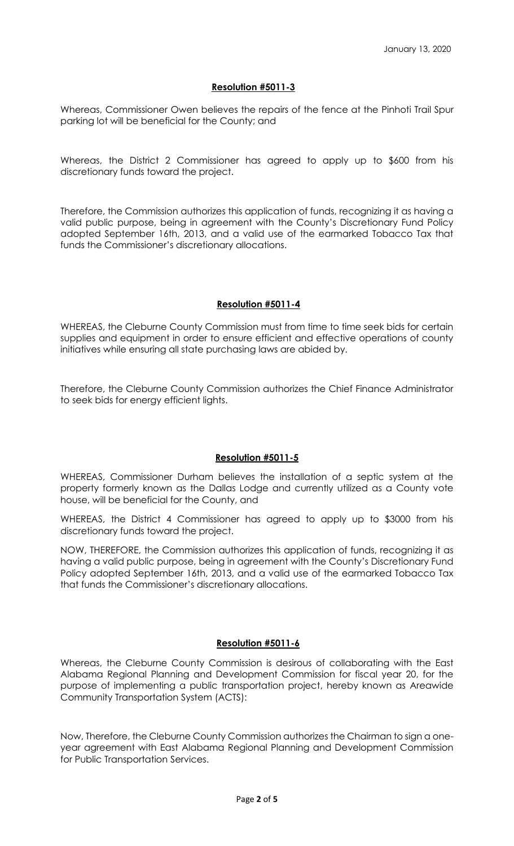### **Resolution #5011-3**

Whereas, Commissioner Owen believes the repairs of the fence at the Pinhoti Trail Spur parking lot will be beneficial for the County; and

Whereas, the District 2 Commissioner has agreed to apply up to \$600 from his discretionary funds toward the project.

Therefore, the Commission authorizes this application of funds, recognizing it as having a valid public purpose, being in agreement with the County's Discretionary Fund Policy adopted September 16th, 2013, and a valid use of the earmarked Tobacco Tax that funds the Commissioner's discretionary allocations.

# **Resolution #5011-4**

WHEREAS, the Cleburne County Commission must from time to time seek bids for certain supplies and equipment in order to ensure efficient and effective operations of county initiatives while ensuring all state purchasing laws are abided by.

Therefore, the Cleburne County Commission authorizes the Chief Finance Administrator to seek bids for energy efficient lights.

### **Resolution #5011-5**

WHEREAS, Commissioner Durham believes the installation of a septic system at the property formerly known as the Dallas Lodge and currently utilized as a County vote house, will be beneficial for the County, and

WHEREAS, the District 4 Commissioner has agreed to apply up to \$3000 from his discretionary funds toward the project.

NOW, THEREFORE, the Commission authorizes this application of funds, recognizing it as having a valid public purpose, being in agreement with the County's Discretionary Fund Policy adopted September 16th, 2013, and a valid use of the earmarked Tobacco Tax that funds the Commissioner's discretionary allocations.

### **Resolution #5011-6**

Whereas, the Cleburne County Commission is desirous of collaborating with the East Alabama Regional Planning and Development Commission for fiscal year 20, for the purpose of implementing a public transportation project, hereby known as Areawide Community Transportation System (ACTS):

Now, Therefore, the Cleburne County Commission authorizes the Chairman to sign a oneyear agreement with East Alabama Regional Planning and Development Commission for Public Transportation Services.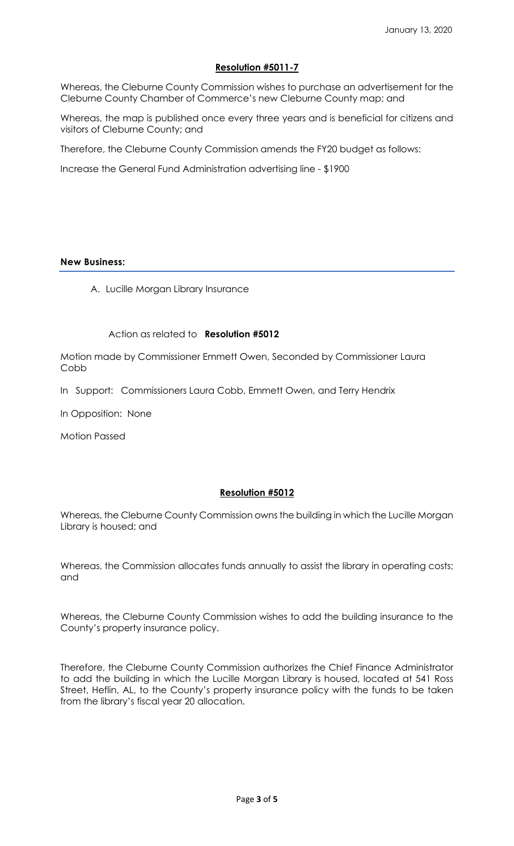# **Resolution #5011-7**

Whereas, the Cleburne County Commission wishes to purchase an advertisement for the Cleburne County Chamber of Commerce's new Cleburne County map; and

Whereas, the map is published once every three years and is beneficial for citizens and visitors of Cleburne County; and

Therefore, the Cleburne County Commission amends the FY20 budget as follows:

Increase the General Fund Administration advertising line - \$1900

#### **New Business:**

A. Lucille Morgan Library Insurance

#### Action as related to **Resolution #5012**

Motion made by Commissioner Emmett Owen, Seconded by Commissioner Laura Cobb

In Support: Commissioners Laura Cobb, Emmett Owen, and Terry Hendrix

In Opposition: None

Motion Passed

### **Resolution #5012**

Whereas, the Cleburne County Commission owns the building in which the Lucille Morgan Library is housed; and

Whereas, the Commission allocates funds annually to assist the library in operating costs; and

Whereas, the Cleburne County Commission wishes to add the building insurance to the County's property insurance policy.

Therefore, the Cleburne County Commission authorizes the Chief Finance Administrator to add the building in which the Lucille Morgan Library is housed, located at 541 Ross Street, Heflin, AL, to the County's property insurance policy with the funds to be taken from the library's fiscal year 20 allocation.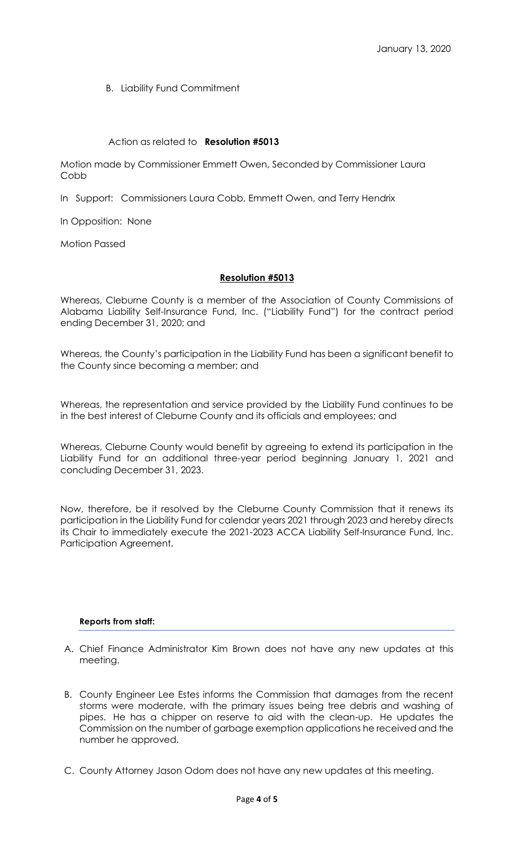B. Liability Fund Commitment

# Action as related to **Resolution #5013**

Motion made by Commissioner Emmett Owen, Seconded by Commissioner Laura Cobb

In Support: Commissioners Laura Cobb, Emmett Owen, and Terry Hendrix

In Opposition: None

Motion Passed

# **Resolution #5013**

Whereas, Cleburne County is a member of the Association of County Commissions of Alabama Liability Self-Insurance Fund, Inc. ("Liability Fund") for the contract period ending December 31, 2020; and

Whereas, the County's participation in the Liability Fund has been a significant benefit to the County since becoming a member; and

Whereas, the representation and service provided by the Liability Fund continues to be in the best interest of Cleburne County and its officials and employees; and

Whereas, Cleburne County would benefit by agreeing to extend its participation in the Liability Fund for an additional three-year period beginning January 1, 2021 and concluding December 31, 2023.

Now, therefore, be it resolved by the Cleburne County Commission that it renews its participation in the Liability Fund for calendar years 2021 through 2023 and hereby directs its Chair to immediately execute the 2021-2023 ACCA Liability Self-Insurance Fund, Inc. Participation Agreement.

### **Reports from staff:**

- A. Chief Finance Administrator Kim Brown does not have any new updates at this meeting.
- B. County Engineer Lee Estes informs the Commission that damages from the recent storms were moderate, with the primary issues being tree debris and washing of pipes. He has a chipper on reserve to aid with the clean-up. He updates the Commission on the number of garbage exemption applications he received and the number he approved.
- C. County Attorney Jason Odom does not have any new updates at this meeting.